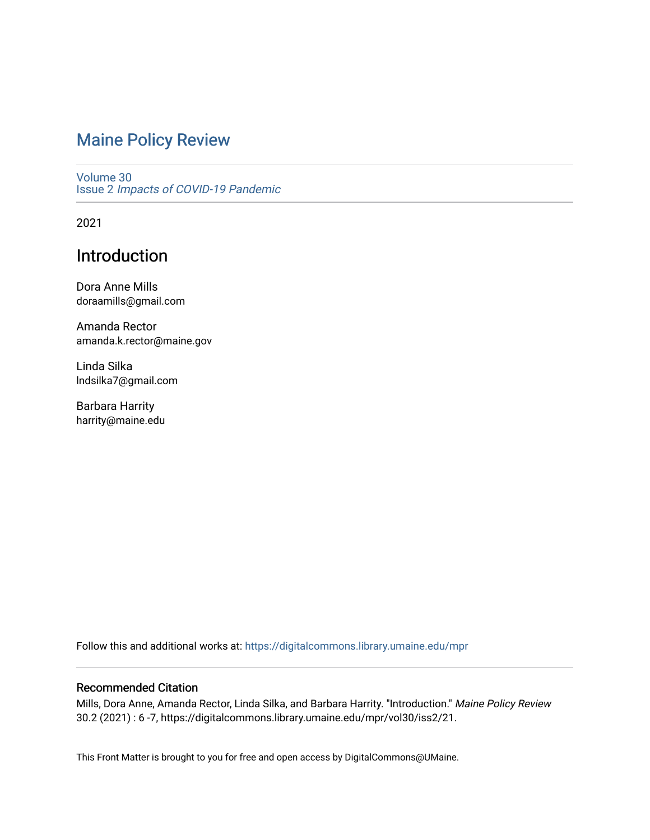## [Maine Policy Review](https://digitalcommons.library.umaine.edu/mpr)

[Volume 30](https://digitalcommons.library.umaine.edu/mpr/vol30) Issue 2 [Impacts of COVID-19 Pandemic](https://digitalcommons.library.umaine.edu/mpr/vol30/iss2)

2021

## Introduction

Dora Anne Mills doraamills@gmail.com

Amanda Rector amanda.k.rector@maine.gov

Linda Silka lndsilka7@gmail.com

Barbara Harrity harrity@maine.edu

Follow this and additional works at: [https://digitalcommons.library.umaine.edu/mpr](https://digitalcommons.library.umaine.edu/mpr?utm_source=digitalcommons.library.umaine.edu%2Fmpr%2Fvol30%2Fiss2%2F21&utm_medium=PDF&utm_campaign=PDFCoverPages)

### Recommended Citation

Mills, Dora Anne, Amanda Rector, Linda Silka, and Barbara Harrity. "Introduction." Maine Policy Review 30.2 (2021) : 6 -7, https://digitalcommons.library.umaine.edu/mpr/vol30/iss2/21.

This Front Matter is brought to you for free and open access by DigitalCommons@UMaine.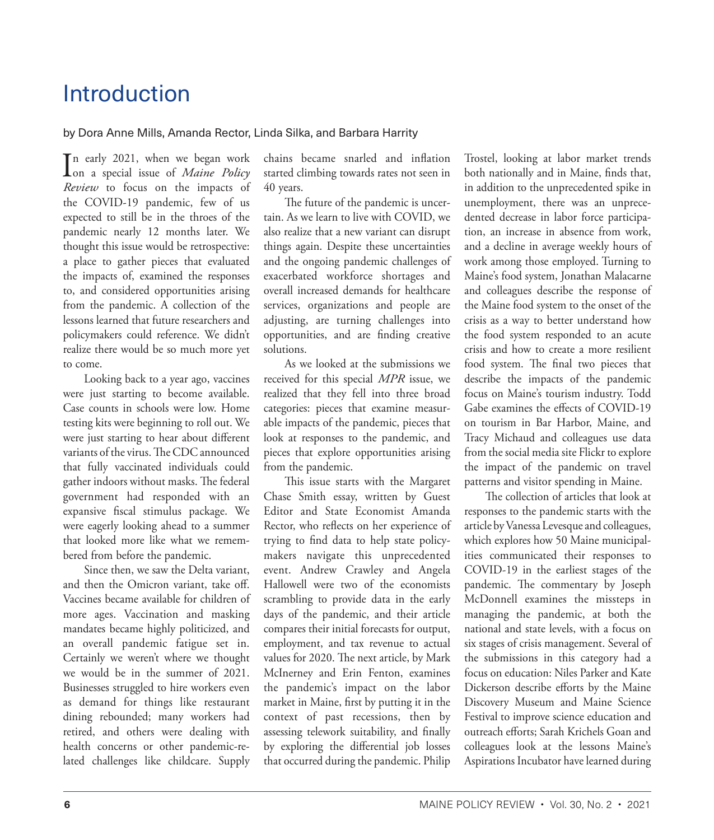# Introduction

by Dora Anne Mills, Amanda Rector, Linda Silka, and Barbara Harrity

In early 2021, when we began work<br>
on a special issue of *Maine Policy* n early 2021, when we began work *Review* to focus on the impacts of the COVID-19 pandemic, few of us expected to still be in the throes of the pandemic nearly 12 months later. We thought this issue would be retrospective: a place to gather pieces that evaluated the impacts of, examined the responses to, and considered opportunities arising from the pandemic. A collection of the lessons learned that future researchers and policymakers could reference. We didn't realize there would be so much more yet to come.

Looking back to a year ago, vaccines were just starting to become available. Case counts in schools were low. Home testing kits were beginning to roll out. We were just starting to hear about different variants of the virus. The CDC announced that fully vaccinated individuals could gather indoors without masks. The federal government had responded with an expansive fiscal stimulus package. We were eagerly looking ahead to a summer that looked more like what we remembered from before the pandemic.

Since then, we saw the Delta variant, and then the Omicron variant, take off. Vaccines became available for children of more ages. Vaccination and masking mandates became highly politicized, and an overall pandemic fatigue set in. Certainly we weren't where we thought we would be in the summer of 2021. Businesses struggled to hire workers even as demand for things like restaurant dining rebounded; many workers had retired, and others were dealing with health concerns or other pandemic-related challenges like childcare. Supply

chains became snarled and inflation started climbing towards rates not seen in 40 years.

The future of the pandemic is uncertain. As we learn to live with COVID, we also realize that a new variant can disrupt things again. Despite these uncertainties and the ongoing pandemic challenges of exacerbated workforce shortages and overall increased demands for healthcare services, organizations and people are adjusting, are turning challenges into opportunities, and are finding creative solutions.

As we looked at the submissions we received for this special *MPR* issue, we realized that they fell into three broad categories: pieces that examine measurable impacts of the pandemic, pieces that look at responses to the pandemic, and pieces that explore opportunities arising from the pandemic.

This issue starts with the Margaret Chase Smith essay, written by Guest Editor and State Economist Amanda Rector, who reflects on her experience of trying to find data to help state policymakers navigate this unprecedented event. Andrew Crawley and Angela Hallowell were two of the economists scrambling to provide data in the early days of the pandemic, and their article compares their initial forecasts for output, employment, and tax revenue to actual values for 2020. The next article, by Mark McInerney and Erin Fenton, examines the pandemic's impact on the labor market in Maine, first by putting it in the context of past recessions, then by assessing telework suitability, and finally by exploring the differential job losses that occurred during the pandemic. Philip

Trostel, looking at labor market trends both nationally and in Maine, finds that, in addition to the unprecedented spike in unemployment, there was an unprecedented decrease in labor force participation, an increase in absence from work, and a decline in average weekly hours of work among those employed. Turning to Maine's food system, Jonathan Malacarne and colleagues describe the response of the Maine food system to the onset of the crisis as a way to better understand how the food system responded to an acute crisis and how to create a more resilient food system. The final two pieces that describe the impacts of the pandemic focus on Maine's tourism industry. Todd Gabe examines the effects of COVID-19 on tourism in Bar Harbor, Maine, and Tracy Michaud and colleagues use data from the social media site Flickr to explore the impact of the pandemic on travel patterns and visitor spending in Maine.

The collection of articles that look at responses to the pandemic starts with the article by Vanessa Levesque and colleagues, which explores how 50 Maine municipalities communicated their responses to COVID-19 in the earliest stages of the pandemic. The commentary by Joseph McDonnell examines the missteps in managing the pandemic, at both the national and state levels, with a focus on six stages of crisis management. Several of the submissions in this category had a focus on education: Niles Parker and Kate Dickerson describe efforts by the Maine Discovery Museum and Maine Science Festival to improve science education and outreach efforts; Sarah Krichels Goan and colleagues look at the lessons Maine's Aspirations Incubator have learned during